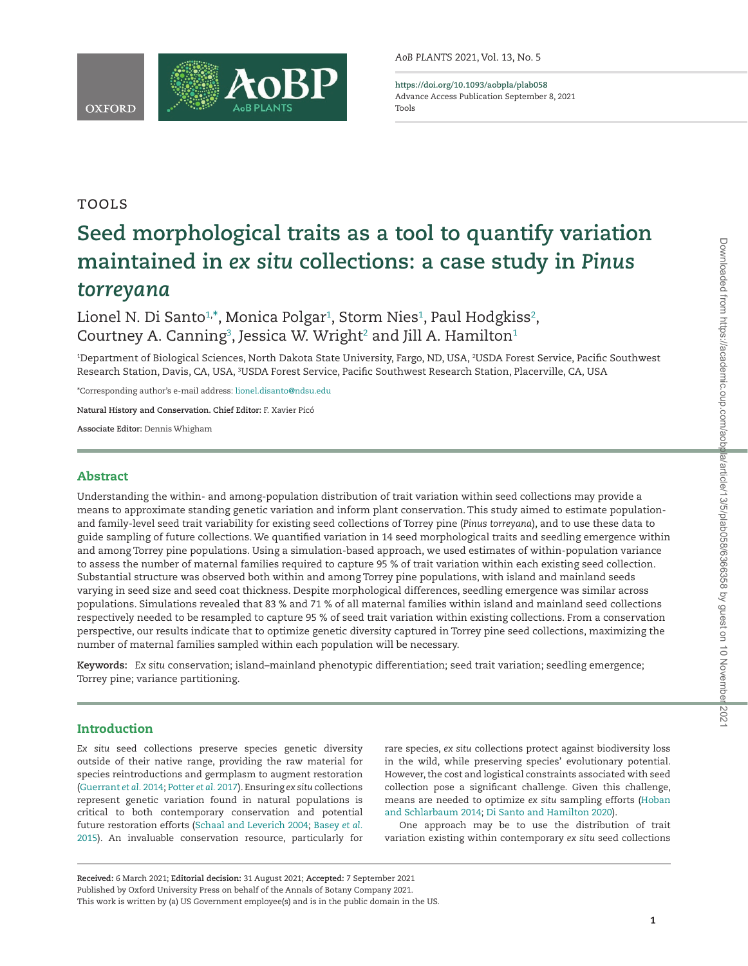

<span id="page-0-2"></span>**<https://doi.org/10.1093/aobpla/plab058>** Advance Access Publication September 8, 2021 Tools

# Tools

# **Seed morphological traits as a tool to quantify variation maintained in** *ex situ* **collections: a case study in** *Pinus torreyana*

Lionel N. Di Santo¼,[\\*](#page-0-1) Monica Polgar4, Storm Nies4, Paul Hodgkiss4, Courtney A. Canning $^{\rm 3}$  $^{\rm 3}$  $^{\rm 3}$ , Jessica W. Wright $^{\rm 2}$  and Jill A. Hamilton $^{\rm 1}$ 

<span id="page-0-3"></span><span id="page-0-0"></span>1 Department of Biological Sciences, North Dakota State University, Fargo, ND, USA, 2 USDA Forest Service, Pacific Southwest Research Station, Davis, CA, USA, <sup>3</sup>USDA Forest Service, Pacific Southwest Research Station, Placerville, CA, USA

<span id="page-0-1"></span>\*Corresponding author's e-mail address: [lionel.disanto@ndsu.edu](mailto:lionel.disanto@ndsu.edu?subject=)

**Natural History and Conservation. Chief Editor:** F. Xavier Picó

**Associate Editor:** Dennis Whigham

# Abstract

Understanding the within- and among-population distribution of trait variation within seed collections may provide a means to approximate standing genetic variation and inform plant conservation. This study aimed to estimate populationand family-level seed trait variability for existing seed collections of Torrey pine (*Pinus torreyana*), and to use these data to guide sampling of future collections. We quantified variation in 14 seed morphological traits and seedling emergence within and among Torrey pine populations. Using a simulation-based approach, we used estimates of within-population variance to assess the number of maternal families required to capture 95 % of trait variation within each existing seed collection. Substantial structure was observed both within and among Torrey pine populations, with island and mainland seeds varying in seed size and seed coat thickness. Despite morphological differences, seedling emergence was similar across populations. Simulations revealed that 83 % and 71 % of all maternal families within island and mainland seed collections respectively needed to be resampled to capture 95 % of seed trait variation within existing collections. From a conservation perspective, our results indicate that to optimize genetic diversity captured in Torrey pine seed collections, maximizing the number of maternal families sampled within each population will be necessary.

**Keywords:** *Ex situ* conservation; island–mainland phenotypic differentiation; seed trait variation; seedling emergence; Torrey pine; variance partitioning.

# Introduction

l

*Ex situ* seed collections preserve species genetic diversity outside of their native range, providing the raw material for species reintroductions and germplasm to augment restoration [\(Guerrant](#page-9-0) *et al.* 2014; [Potter](#page-10-0) *et al.* 2017). Ensuring *ex situ* collections represent genetic variation found in natural populations is critical to both contemporary conservation and potential future restoration efforts ([Schaal and Leverich 2004;](#page-10-1) [Basey](#page-9-1) *et al.* [2015\)](#page-9-1). An invaluable conservation resource, particularly for

rare species, *ex situ* collections protect against biodiversity loss in the wild, while preserving species' evolutionary potential. However, the cost and logistical constraints associated with seed collection pose a significant challenge. Given this challenge, means are needed to optimize *ex situ* sampling efforts [\(Hoban](#page-9-2) [and Schlarbaum 2014](#page-9-2); [Di Santo and Hamilton 2020](#page-10-2)).

One approach may be to use the distribution of trait variation existing within contemporary *ex situ* seed collections

**Received:** 6 March 2021; **Editorial decision:** 31 August 2021; **Accepted:** 7 September 2021 Published by Oxford University Press on behalf of the Annals of Botany Company 2021. This work is written by (a) US Government employee(s) and is in the public domain in the US.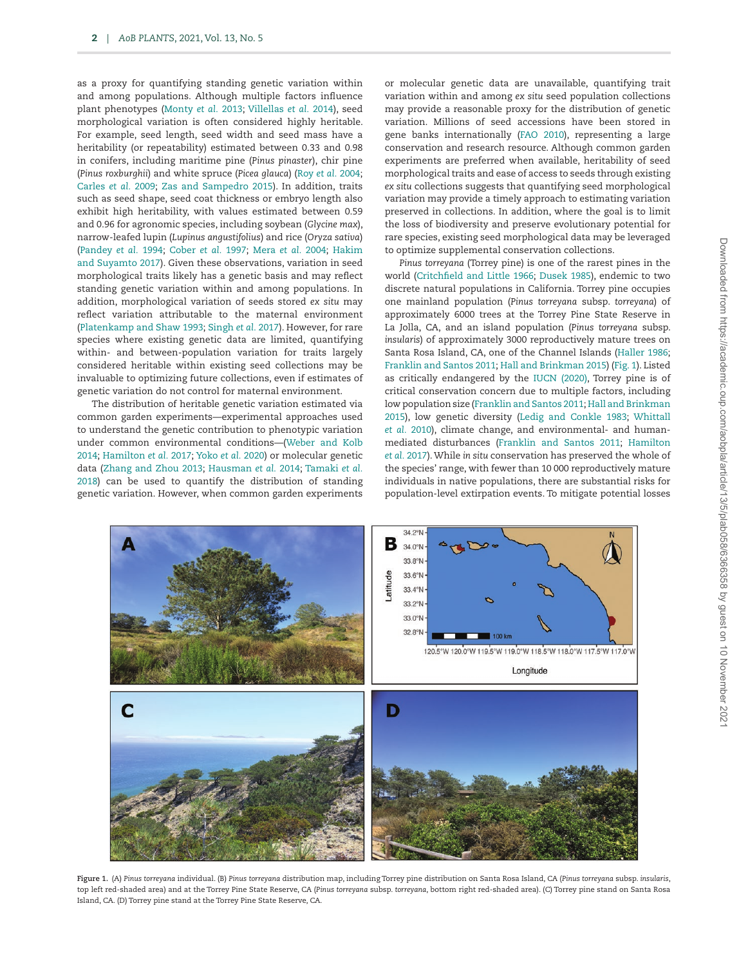as a proxy for quantifying standing genetic variation within and among populations. Although multiple factors influence plant phenotypes [\(Monty](#page-9-3) *et al.* 2013; [Villellas](#page-10-3) *et al.* 2014), seed morphological variation is often considered highly heritable. For example, seed length, seed width and seed mass have a heritability (or repeatability) estimated between 0.33 and 0.98 in conifers, including maritime pine (*Pinus pinaster*), chir pine (*Pinus roxburghii*) and white spruce (*Picea glauca*) (Roy *et al.* [2004](#page-10-4); [Carles](#page-9-4) *et al.* 2009; [Zas and Sampedro 2015\)](#page-10-5). In addition, traits such as seed shape, seed coat thickness or embryo length also exhibit high heritability, with values estimated between 0.59 and 0.96 for agronomic species, including soybean (*Glycine max*), narrow-leafed lupin (*Lupinus angustifolius*) and rice (*Oryza sativa*) ([Pandey](#page-10-6) *et al.* 1994; [Cober](#page-9-5) *et al.* 1997; [Mera](#page-9-6) *et al.* 2004; [Hakim](#page-9-7) [and Suyamto 2017](#page-9-7)). Given these observations, variation in seed morphological traits likely has a genetic basis and may reflect standing genetic variation within and among populations. In addition, morphological variation of seeds stored *ex situ* may reflect variation attributable to the maternal environment ([Platenkamp and Shaw 1993](#page-10-7); [Singh](#page-10-8) *et al.* 2017). However, for rare species where existing genetic data are limited, quantifying within- and between-population variation for traits largely considered heritable within existing seed collections may be invaluable to optimizing future collections, even if estimates of genetic variation do not control for maternal environment.

The distribution of heritable genetic variation estimated via common garden experiments—experimental approaches used to understand the genetic contribution to phenotypic variation under common environmental conditions—[\(Weber and Kolb](#page-10-9) [2014;](#page-10-9) [Hamilton](#page-9-8) *et al.* 2017; [Yoko](#page-10-10) *et al.* 2020) or molecular genetic data [\(Zhang and Zhou 2013;](#page-10-11) [Hausman](#page-9-9) *et al.* 2014; [Tamaki](#page-10-12) *et al.* [2018\)](#page-10-12) can be used to quantify the distribution of standing genetic variation. However, when common garden experiments or molecular genetic data are unavailable, quantifying trait variation within and among *ex situ* seed population collections may provide a reasonable proxy for the distribution of genetic variation. Millions of seed accessions have been stored in gene banks internationally [\(FAO 2010\)](#page-9-10), representing a large conservation and research resource. Although common garden experiments are preferred when available, heritability of seed morphological traits and ease of access to seeds through existing *ex situ* collections suggests that quantifying seed morphological variation may provide a timely approach to estimating variation preserved in collections. In addition, where the goal is to limit the loss of biodiversity and preserve evolutionary potential for rare species, existing seed morphological data may be leveraged to optimize supplemental conservation collections.

*Pinus torreyana* (Torrey pine) is one of the rarest pines in the world [\(Critchfield and Little 1966](#page-9-11); [Dusek 1985](#page-9-12)), endemic to two discrete natural populations in California. Torrey pine occupies one mainland population (*Pinus torreyana* subsp. *torreyana*) of approximately 6000 trees at the Torrey Pine State Reserve in La Jolla, CA, and an island population (*Pinus torreyana* subsp. *insularis*) of approximately 3000 reproductively mature trees on Santa Rosa Island, CA, one of the Channel Islands ([Haller 1986](#page-9-13); [Franklin and Santos 2011](#page-9-14); [Hall and Brinkman 2015\)](#page-9-15) [\(Fig. 1](#page-1-0)). Listed as critically endangered by the [IUCN \(2020\),](#page-9-16) Torrey pine is of critical conservation concern due to multiple factors, including low population size ([Franklin and Santos 2011](#page-9-14); [Hall and Brinkman](#page-9-15) [2015\)](#page-9-15), low genetic diversity ([Ledig and Conkle 1983](#page-9-17); [Whittall](#page-10-13) *et al.* [2010](#page-10-13)), climate change, and environmental- and humanmediated disturbances [\(Franklin and Santos 2011;](#page-9-14) [Hamilton](#page-9-8) *et al.* [2017\)](#page-9-8). While *in situ* conservation has preserved the whole of the species' range, with fewer than 10 000 reproductively mature individuals in native populations, there are substantial risks for population-level extirpation events. To mitigate potential losses



<span id="page-1-0"></span>**Figure 1.** (A) *Pinus torreyana* individual. (B) *Pinus torreyana* distribution map, including Torrey pine distribution on Santa Rosa Island, CA (*Pinus torreyana* subsp. *insularis*, top left red-shaded area) and at the Torrey Pine State Reserve, CA (*Pinus torreyana* subsp. *torreyana*, bottom right red-shaded area). (C) Torrey pine stand on Santa Rosa Island, CA. (D) Torrey pine stand at the Torrey Pine State Reserve, CA.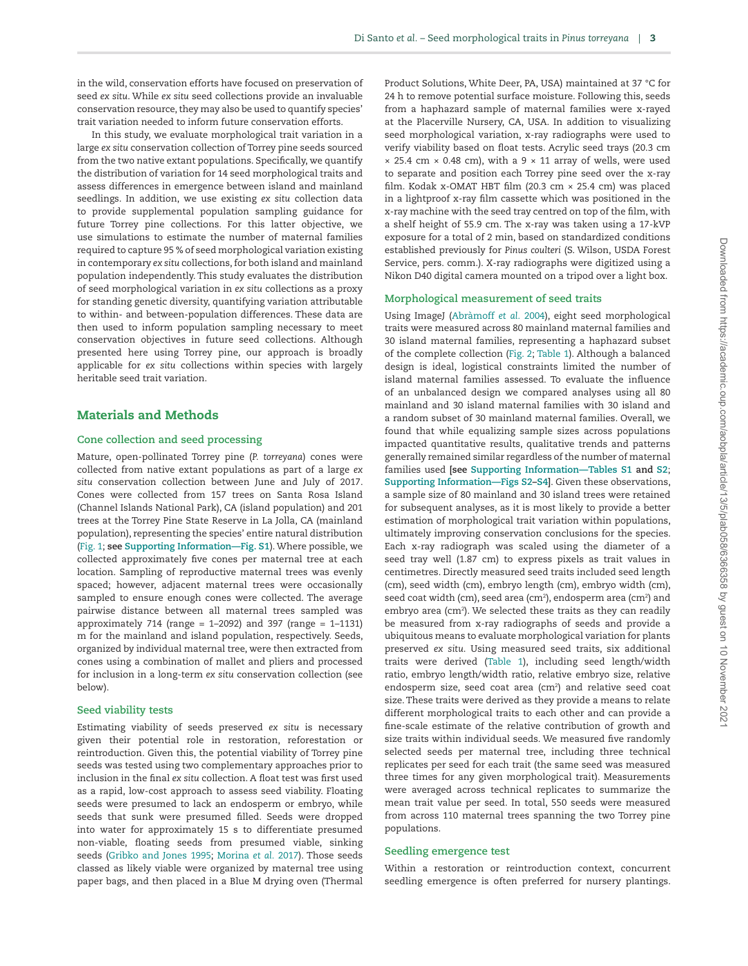in the wild, conservation efforts have focused on preservation of seed *ex situ*. While *ex situ* seed collections provide an invaluable conservation resource, they may also be used to quantify species' trait variation needed to inform future conservation efforts.

In this study, we evaluate morphological trait variation in a large *ex situ* conservation collection of Torrey pine seeds sourced from the two native extant populations. Specifically, we quantify the distribution of variation for 14 seed morphological traits and assess differences in emergence between island and mainland seedlings. In addition, we use existing *ex situ* collection data to provide supplemental population sampling guidance for future Torrey pine collections. For this latter objective, we use simulations to estimate the number of maternal families required to capture 95 % of seed morphological variation existing in contemporary *ex situ* collections, for both island and mainland population independently. This study evaluates the distribution of seed morphological variation in *ex situ* collections as a proxy for standing genetic diversity, quantifying variation attributable to within- and between-population differences. These data are then used to inform population sampling necessary to meet conservation objectives in future seed collections. Although presented here using Torrey pine, our approach is broadly applicable for *ex situ* collections within species with largely heritable seed trait variation.

# Materials and Methods

#### **Cone collection and seed processing**

Mature, open-pollinated Torrey pine (*P. torreyana*) cones were collected from native extant populations as part of a large *ex situ* conservation collection between June and July of 2017. Cones were collected from 157 trees on Santa Rosa Island (Channel Islands National Park), CA (island population) and 201 trees at the Torrey Pine State Reserve in La Jolla, CA (mainland population), representing the species' entire natural distribution [\(Fig. 1;](#page-1-0) **see [Supporting Information—Fig. S1](http://academic.oup.com/aobpla/article-lookup/doi/10.1093/aobpla/plab058#supplementary-data)**). Where possible, we collected approximately five cones per maternal tree at each location. Sampling of reproductive maternal trees was evenly spaced; however, adjacent maternal trees were occasionally sampled to ensure enough cones were collected. The average pairwise distance between all maternal trees sampled was approximately 714 (range =  $1-2092$ ) and 397 (range =  $1-1131$ ) m for the mainland and island population, respectively. Seeds, organized by individual maternal tree, were then extracted from cones using a combination of mallet and pliers and processed for inclusion in a long-term *ex situ* conservation collection (see below).

#### **Seed viability tests**

Estimating viability of seeds preserved *ex situ* is necessary given their potential role in restoration, reforestation or reintroduction. Given this, the potential viability of Torrey pine seeds was tested using two complementary approaches prior to inclusion in the final *ex situ* collection. A float test was first used as a rapid, low-cost approach to assess seed viability. Floating seeds were presumed to lack an endosperm or embryo, while seeds that sunk were presumed filled. Seeds were dropped into water for approximately 15 s to differentiate presumed non-viable, floating seeds from presumed viable, sinking seeds [\(Gribko and Jones 1995;](#page-9-18) [Morina](#page-9-19) *et al.* 2017). Those seeds classed as likely viable were organized by maternal tree using paper bags, and then placed in a Blue M drying oven (Thermal Product Solutions, White Deer, PA, USA) maintained at 37 °C for 24 h to remove potential surface moisture. Following this, seeds from a haphazard sample of maternal families were x-rayed at the Placerville Nursery, CA, USA. In addition to visualizing seed morphological variation, x-ray radiographs were used to verify viability based on float tests. Acrylic seed trays (20.3 cm  $\times$  25.4 cm  $\times$  0.48 cm), with a 9  $\times$  11 array of wells, were used to separate and position each Torrey pine seed over the x-ray film. Kodak x-OMAT HBT film (20.3 cm × 25.4 cm) was placed in a lightproof x-ray film cassette which was positioned in the x-ray machine with the seed tray centred on top of the film, with a shelf height of 55.9 cm. The x-ray was taken using a 17-kVP exposure for a total of 2 min, based on standardized conditions established previously for *Pinus coulteri* (S. Wilson, USDA Forest Service, pers. comm.). X-ray radiographs were digitized using a Nikon D40 digital camera mounted on a tripod over a light box.

#### **Morphological measurement of seed traits**

Using ImageJ [\(Abràmoff](#page-9-20) *et al.* 2004), eight seed morphological traits were measured across 80 mainland maternal families and 30 island maternal families, representing a haphazard subset of the complete collection ([Fig. 2;](#page-3-0) [Table 1\)](#page-4-0). Although a balanced design is ideal, logistical constraints limited the number of island maternal families assessed. To evaluate the influence of an unbalanced design we compared analyses using all 80 mainland and 30 island maternal families with 30 island and a random subset of 30 mainland maternal families. Overall, we found that while equalizing sample sizes across populations impacted quantitative results, qualitative trends and patterns generally remained similar regardless of the number of maternal families used **[see [Supporting Information—Tables S1](http://academic.oup.com/aobpla/article-lookup/doi/10.1093/aobpla/plab058#supplementary-data) and [S2](http://academic.oup.com/aobpla/article-lookup/doi/10.1093/aobpla/plab058#supplementary-data)**; **[Supporting Information—Figs S2](http://academic.oup.com/aobpla/article-lookup/doi/10.1093/aobpla/plab058#supplementary-data)–[S4\]](http://academic.oup.com/aobpla/article-lookup/doi/10.1093/aobpla/plab058#supplementary-data)**. Given these observations, a sample size of 80 mainland and 30 island trees were retained for subsequent analyses, as it is most likely to provide a better estimation of morphological trait variation within populations, ultimately improving conservation conclusions for the species. Each x-ray radiograph was scaled using the diameter of a seed tray well (1.87 cm) to express pixels as trait values in centimetres. Directly measured seed traits included seed length (cm), seed width (cm), embryo length (cm), embryo width (cm), seed coat width (cm), seed area (cm<sup>2</sup>), endosperm area (cm<sup>2</sup>) and embryo area (cm2 ). We selected these traits as they can readily be measured from x-ray radiographs of seeds and provide a ubiquitous means to evaluate morphological variation for plants preserved *ex situ*. Using measured seed traits, six additional traits were derived [\(Table 1](#page-4-0)), including seed length/width ratio, embryo length/width ratio, relative embryo size, relative endosperm size, seed coat area (cm<sup>2</sup>) and relative seed coat size. These traits were derived as they provide a means to relate different morphological traits to each other and can provide a fine-scale estimate of the relative contribution of growth and size traits within individual seeds. We measured five randomly selected seeds per maternal tree, including three technical replicates per seed for each trait (the same seed was measured three times for any given morphological trait). Measurements were averaged across technical replicates to summarize the mean trait value per seed. In total, 550 seeds were measured from across 110 maternal trees spanning the two Torrey pine populations.

#### **Seedling emergence test**

Within a restoration or reintroduction context, concurrent seedling emergence is often preferred for nursery plantings.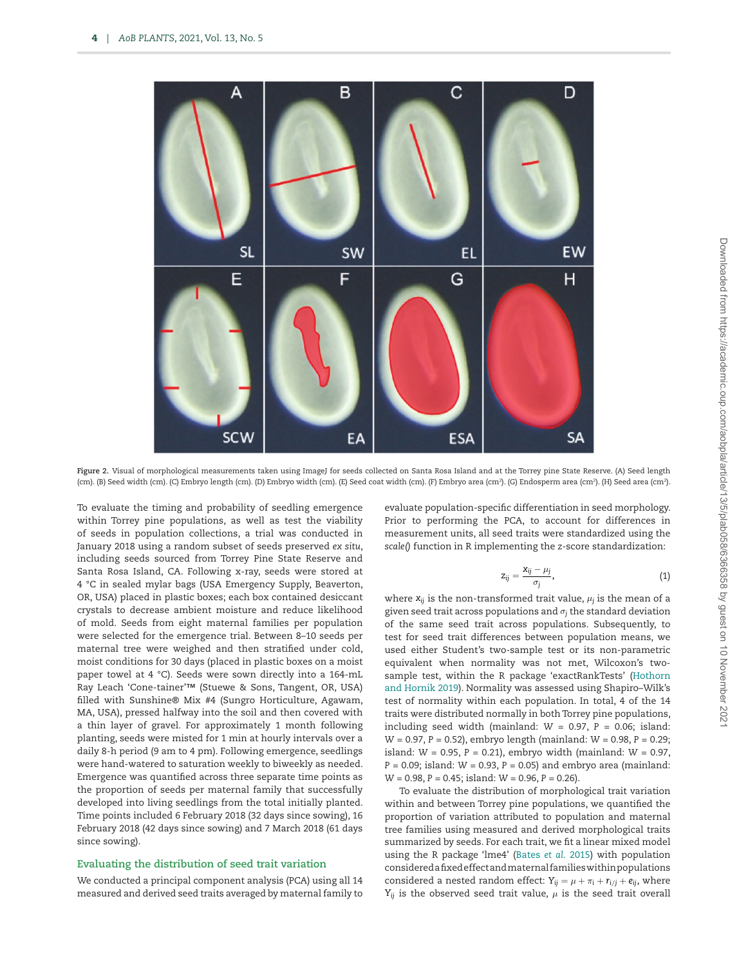

<span id="page-3-0"></span>Figure 2. Visual of morphological measurements taken using ImageJ for seeds collected on Santa Rosa Island and at the Torrey pine State Reserve. (A) Seed length (cm). (B) Seed width (cm). (C) Embryo length (cm). (D) Embryo width (cm). (E) Seed coat width (cm). (F) Embryo area (cm?). (G) Endosperm area (cm?). (H) Seed area (cm?).

To evaluate the timing and probability of seedling emergence within Torrey pine populations, as well as test the viability of seeds in population collections, a trial was conducted in January 2018 using a random subset of seeds preserved *ex situ*, including seeds sourced from Torrey Pine State Reserve and Santa Rosa Island, CA. Following x-ray, seeds were stored at 4 °C in sealed mylar bags (USA Emergency Supply, Beaverton, OR, USA) placed in plastic boxes; each box contained desiccant crystals to decrease ambient moisture and reduce likelihood of mold. Seeds from eight maternal families per population were selected for the emergence trial. Between 8–10 seeds per maternal tree were weighed and then stratified under cold, moist conditions for 30 days (placed in plastic boxes on a moist paper towel at 4 °C). Seeds were sown directly into a 164-mL Ray Leach 'Cone-tainer'™ (Stuewe & Sons, Tangent, OR, USA) filled with Sunshine® Mix #4 (Sungro Horticulture, Agawam, MA, USA), pressed halfway into the soil and then covered with a thin layer of gravel. For approximately 1 month following planting, seeds were misted for 1 min at hourly intervals over a daily 8-h period (9 am to 4 pm). Following emergence, seedlings were hand-watered to saturation weekly to biweekly as needed. Emergence was quantified across three separate time points as the proportion of seeds per maternal family that successfully developed into living seedlings from the total initially planted. Time points included 6 February 2018 (32 days since sowing), 16 February 2018 (42 days since sowing) and 7 March 2018 (61 days since sowing).

#### **Evaluating the distribution of seed trait variation**

We conducted a principal component analysis (PCA) using all 14 measured and derived seed traits averaged by maternal family to evaluate population-specific differentiation in seed morphology. Prior to performing the PCA, to account for differences in measurement units, all seed traits were standardized using the *scale()* function in R implementing the *z*-score standardization:

$$
z_{ij} = \frac{x_{ij} - \mu_j}{\sigma_j},\tag{1}
$$

<span id="page-3-1"></span>where  $x_{ij}$  is the non-transformed trait value,  $\mu_j$  is the mean of a given seed trait across populations and σ*j* the standard deviation of the same seed trait across populations. Subsequently, to test for seed trait differences between population means, we used either Student's two-sample test or its non-parametric equivalent when normality was not met, Wilcoxon's twosample test, within the R package 'exactRankTests' [\(Hothorn](#page-9-21) [and Hornik 2019](#page-9-21)). Normality was assessed using Shapiro–Wilk's test of normality within each population. In total, 4 of the 14 traits were distributed normally in both Torrey pine populations, including seed width (mainland:  $W = 0.97$ ,  $P = 0.06$ ; island: *W* = 0.97, *P* = 0.52), embryo length (mainland: *W* = 0.98, *P* = 0.29; island: *W* = 0.95, *P* = 0.21), embryo width (mainland: *W* = 0.97, *P* = 0.09; island: *W* = 0.93, *P* = 0.05) and embryo area (mainland: *W* = 0.98, *P* = 0.45; island: *W* = 0.96, *P* = 0.26).

To evaluate the distribution of morphological trait variation within and between Torrey pine populations, we quantified the proportion of variation attributed to population and maternal tree families using measured and derived morphological traits summarized by seeds. For each trait, we fit a linear mixed model using the R package 'lme4' ([Bates](#page-9-22) *et al.* 2015) with population considered a fixed effect and maternal families within populations considered a nested random effect:  $Y_{ij} = \mu + \pi_i + r_{i/j} + e_{ij}$ , where  $Y_{ij}$  is the observed seed trait value,  $\mu$  is the seed trait overall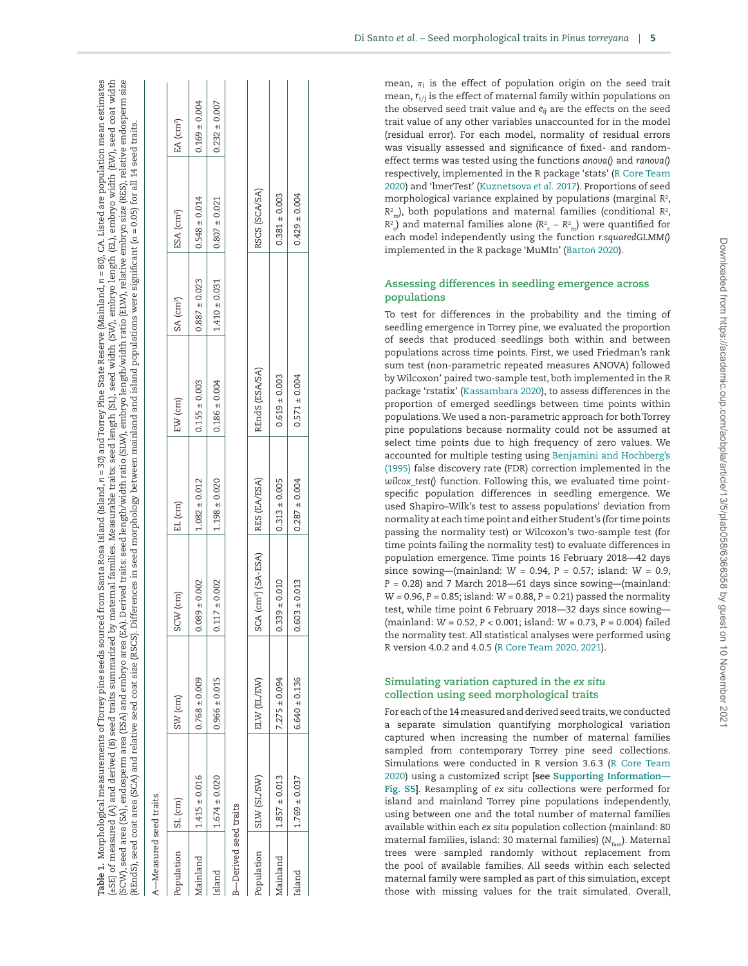|                               |                   | (SCW), seed area (SA), endosperm area (ESA) and embryo area (EA). | (REndS), seed coat area (SCA) and relative seed coat size (RSCS). Differences in seed morphology between mainland and island populations were significant (α = 0.05) for all 14 seed traits. |                   | Derived traits: seed length/width ratio (SLW), embryo length/width ratio (ELW), relative embryo size (RES), relative endosperm size |                       |                        |                   |
|-------------------------------|-------------------|-------------------------------------------------------------------|----------------------------------------------------------------------------------------------------------------------------------------------------------------------------------------------|-------------------|-------------------------------------------------------------------------------------------------------------------------------------|-----------------------|------------------------|-------------------|
| A-Measured seed traits        |                   |                                                                   |                                                                                                                                                                                              |                   |                                                                                                                                     |                       |                        |                   |
| Population                    | $SL$ (cm)         | $SW$ (cm)                                                         | SCW (cm)                                                                                                                                                                                     | EL (cm)           | $EW$ (cm)                                                                                                                           | SA (cm <sup>2</sup> ) | ESA (cm <sup>2</sup> ) | EA $(cm^2)$       |
| Mainland                      | $1.415 \pm 0.016$ | $0.768 \pm 0.009$                                                 | $0.089 + 0.002$                                                                                                                                                                              | $1.082 \pm 0.012$ | $0.155 \pm 0.003$                                                                                                                   | $0.887 \pm 0.023$     | $0.548 \pm 0.014$      | $0.169 \pm 0.004$ |
| Island                        | $1.674 \pm 0.020$ | $0.966 \pm 0.015$                                                 | $0.117 \pm 0.002$                                                                                                                                                                            | $1.198 \pm 0.020$ | $0.186 \pm 0.004$                                                                                                                   | $1.410 \pm 0.031$     | $0.807 \pm 0.021$      | $0.232 \pm 0.007$ |
| <b>B</b> -Derived seed traits |                   |                                                                   |                                                                                                                                                                                              |                   |                                                                                                                                     |                       |                        |                   |
| Population                    | SIW (SL/SW)       | ELW (EL/EW)                                                       | $SCA$ (cm <sup>2</sup> ) $(SA-ESA)$                                                                                                                                                          | RES (EA/ESA)      | REndS (ESA/SA)                                                                                                                      |                       | RSCS (SCA/SA)          |                   |
| Mainland                      | $1.857 \pm 0.013$ | $7.275 \pm 0.094$                                                 | $0.339 \pm 0.010$                                                                                                                                                                            | $0.313 \pm 0.005$ | $0.619 \pm 0.003$                                                                                                                   |                       | $0.381 \pm 0.003$      |                   |
| Island                        | $1.769 \pm 0.037$ | $6.640 \pm 0.136$                                                 | $0.603 \pm 0.013$                                                                                                                                                                            | $0.287 \pm 0.004$ | $0.571 \pm 0.004$                                                                                                                   |                       | $0.429 \pm 0.004$      |                   |

**Table 1.** Morphological measurements of Torrey pine seeds sourced from Santa Rosa Island (Island, n = 30) and Torrey Pine State Reserve (Mainland,

Morphological measurements of Torrey pine seeds sourced from Santa Rosa Island (Island, *n* = 30) and Torrey Pine State Reserve (Mainland, *n* = 80), CA. Listed are population mean estimates (±SE) of measured (A) and derived (B) seed traits summarized by maternal families. Measurable traits: seed length (SL), seed width (SW), embryo length (EL), embryo width (EW), seed coat width (SCW), seed area (SA), endosperm area (ESA) and embryo area (EA). Derived traits: seed length/width ratio (SLW), embryo length/width ratio (ELW), relative embryo size (RES), relative endosperm size

 $n = 80$ ), CA. Listed are population mean estimates

(4) of measured (A) and derived (B) seed traits summarized by maternal families. Measurable traits: seed length (SL), seed width (SW), embryo length (EL), embryo width (EW), seed coat width

mean,  $\pi_i$  is the effect of population origin on the seed trait mean,  $r_{i/j}$  is the effect of maternal family within populations on the observed seed trait value and *eij* are the effects on the seed trait value of any other variables unaccounted for in the model (residual error). For each model, normality of residual errors was visually assessed and significance of fixed- and randomeffect terms was tested using the functions *anova()* and *ranova()* respectively, implemented in the R package 'stats' [\(R Core Team](#page-10-14) [2020\)](#page-10-14) and 'lmerTest' ([Kuznetsova](#page-9-23) *et al.* 2017). Proportions of seed morphological variance explained by populations (marginal *R* 2 ,  $R<sup>2</sup>$ <sub>m</sub>), both populations and maternal families (conditional  $R<sup>2</sup>$ ,  $R^2$ <sub>c</sub>) and maternal families alone ( $R^2$ <sub>c</sub> –  $R^2$ <sub>m</sub>) were quantified for each model independently using the function *r.squaredGLMM()* implemented in the R package 'MuMIn' ([Barto](#page-9-24) ń 2020).

## **Assessing differences in seedling emergence across populations**

To test for differences in the probability and the timing of seedling emergence in Torrey pine, we evaluated the proportion of seeds that produced seedlings both within and between populations across time points. First, we used Friedman's rank sum test (non-parametric repeated measures ANOVA) followed by Wilcoxon' paired two-sample test, both implemented in the R package 'rstatix' [\(Kassambara 2020](#page-9-25)), to assess differences in the proportion of emerged seedlings between time points within populations. We used a non-parametric approach for both Torrey pine populations because normality could not be assumed at select time points due to high frequency of zero values. We accounted for multiple testing using [Benjamini and Hochberg's](#page-9-26) [\(1995\)](#page-9-26) false discovery rate (FDR) correction implemented in the *wilcox\_test()* function. Following this, we evaluated time pointspecific population differences in seedling emergence. We used Shapiro–Wilk's test to assess populations' deviation from normality at each time point and either Student's (for time points passing the normality test) or Wilcoxon's two-sample test (for time points failing the normality test) to evaluate differences in population emergence. Time points 16 February 2018—42 days since sowing—(mainland: *W* = 0.94, *P* = 0.57; island: *W* = 0.9,  $P = 0.28$ ) and 7 March 2018—61 days since sowing—(mainland: *W* = 0.96, *P* = 0.85; island: *W* = 0.88, *P* = 0.21) passed the normality test, while time point 6 February 2018—32 days since sowing— (mainland: *W* = 0.52, *P* < 0.001; island: *W* = 0.73, *P* = 0.004) failed the normality test. All statistical analyses were performed using R version 4.0.2 and 4.0.5 [\(R Core Team 2020,](#page-10-14) [2021](#page-10-15)).

# **Simulating variation captured in the** *ex situ* **collection using seed morphological traits**

<span id="page-4-0"></span>For each of the 14 measured and derived seed traits, we conducted a separate simulation quantifying morphological variation captured when increasing the number of maternal families sampled from contemporary Torrey pine seed collections. Simulations were conducted in R version 3.6.3 [\(R Core Team](#page-10-14) [2020\)](#page-10-14) using a customized script **[see [Supporting Information—](http://academic.oup.com/aobpla/article-lookup/doi/10.1093/aobpla/plab058#supplementary-data) [Fig. S5](http://academic.oup.com/aobpla/article-lookup/doi/10.1093/aobpla/plab058#supplementary-data) ]**. Resampling of *ex situ* collections were performed for island and mainland Torrey pine populations independently, using between one and the total number of maternal families available within each *ex situ* population collection (mainland: 80 maternal families, island: 30 maternal families) ( *N*fam). Maternal trees were sampled randomly without replacement from the pool of available families. All seeds within each selected maternal family were sampled as part of this simulation, except those with missing values for the trait simulated. Overall,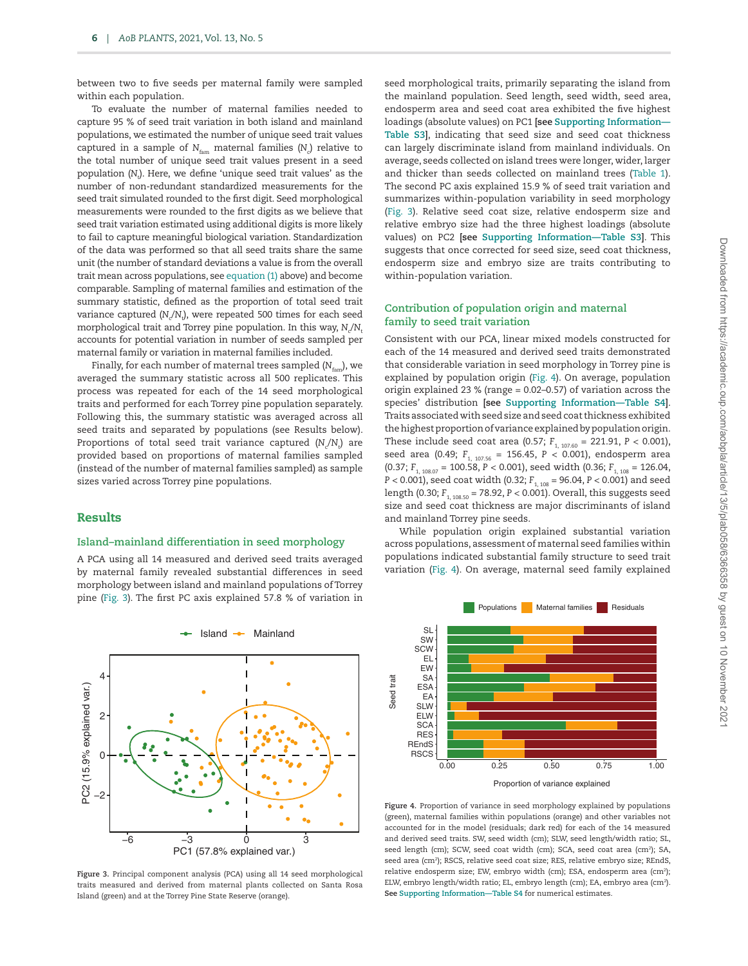between two to five seeds per maternal family were sampled within each population.

To evaluate the number of maternal families needed to capture 95 % of seed trait variation in both island and mainland populations, we estimated the number of unique seed trait values captured in a sample of  $N_{\rm fam}$  maternal families (N<sub>c</sub>) relative to the total number of unique seed trait values present in a seed population (*N*<sup>t</sup> ). Here, we define 'unique seed trait values' as the number of non-redundant standardized measurements for the seed trait simulated rounded to the first digit. Seed morphological measurements were rounded to the first digits as we believe that seed trait variation estimated using additional digits is more likely to fail to capture meaningful biological variation. Standardization of the data was performed so that all seed traits share the same unit (the number of standard deviations a value is from the overall trait mean across populations, see [equation \(1\)](#page-3-1) above) and become comparable. Sampling of maternal families and estimation of the summary statistic, defined as the proportion of total seed trait variance captured (N<sub>.</sub>/N<sub>.</sub>), were repeated 500 times for each seed morphological trait and Torrey pine population. In this way, N<sub>c</sub>/N<sub>t</sub> accounts for potential variation in number of seeds sampled per maternal family or variation in maternal families included.

Finally, for each number of maternal trees sampled (*N*<sub>fam</sub>), we averaged the summary statistic across all 500 replicates. This process was repeated for each of the 14 seed morphological traits and performed for each Torrey pine population separately. Following this, the summary statistic was averaged across all seed traits and separated by populations (see Results below). Proportions of total seed trait variance captured (N<sub>c</sub>/N<sub>t</sub>) are provided based on proportions of maternal families sampled (instead of the number of maternal families sampled) as sample sizes varied across Torrey pine populations.

#### Results

# **Island–mainland differentiation in seed morphology**

A PCA using all 14 measured and derived seed traits averaged by maternal family revealed substantial differences in seed morphology between island and mainland populations of Torrey pine ([Fig. 3\)](#page-5-0). The first PC axis explained 57.8 % of variation in



<span id="page-5-0"></span>**Figure 3.** Principal component analysis (PCA) using all 14 seed morphological traits measured and derived from maternal plants collected on Santa Rosa Island (green) and at the Torrey Pine State Reserve (orange).

seed morphological traits, primarily separating the island from the mainland population. Seed length, seed width, seed area, endosperm area and seed coat area exhibited the five highest loadings (absolute values) on PC1 **[see [Supporting Information—](http://academic.oup.com/aobpla/article-lookup/doi/10.1093/aobpla/plab058#supplementary-data) [Table S3](http://academic.oup.com/aobpla/article-lookup/doi/10.1093/aobpla/plab058#supplementary-data)]**, indicating that seed size and seed coat thickness can largely discriminate island from mainland individuals. On average, seeds collected on island trees were longer, wider, larger and thicker than seeds collected on mainland trees [\(Table 1\)](#page-4-0). The second PC axis explained 15.9 % of seed trait variation and summarizes within-population variability in seed morphology [\(Fig. 3](#page-5-0)). Relative seed coat size, relative endosperm size and relative embryo size had the three highest loadings (absolute values) on PC2 **[see [Supporting Information—Table S3](http://academic.oup.com/aobpla/article-lookup/doi/10.1093/aobpla/plab058#supplementary-data)]**. This suggests that once corrected for seed size, seed coat thickness, endosperm size and embryo size are traits contributing to within-population variation.

#### **Contribution of population origin and maternal family to seed trait variation**

Consistent with our PCA, linear mixed models constructed for each of the 14 measured and derived seed traits demonstrated that considerable variation in seed morphology in Torrey pine is explained by population origin ([Fig. 4](#page-5-1)). On average, population origin explained 23 % (range = 0.02–0.57) of variation across the species' distribution **[see [Supporting Information—Table S4](http://academic.oup.com/aobpla/article-lookup/doi/10.1093/aobpla/plab058#supplementary-data)]**. Traits associated with seed size and seed coat thickness exhibited the highest proportion of variance explained by population origin. These include seed coat area (0.57;  $F_{1, 107, 60} = 221.91$ ,  $P < 0.001$ ), seed area (0.49; *F*<sub>1, 107.56</sub> = 156.45, *P* < 0.001), endosperm area  $(0.37; F<sub>1, 108.07</sub> = 100.58, P < 0.001)$ , seed width  $(0.36; F<sub>1, 108</sub> = 126.04,$ *P* < 0.001), seed coat width (0.32; *F*<sub>1, 108</sub> = 96.04, *P* < 0.001) and seed length (0.30; *F*<sub>1, 108.50</sub> = 78.92, *P* < 0.001). Overall, this suggests seed size and seed coat thickness are major discriminants of island and mainland Torrey pine seeds.

While population origin explained substantial variation across populations, assessment of maternal seed families within populations indicated substantial family structure to seed trait variation ([Fig. 4\)](#page-5-1). On average, maternal seed family explained



<span id="page-5-1"></span>**Figure 4.** Proportion of variance in seed morphology explained by populations (green), maternal families within populations (orange) and other variables not accounted for in the model (residuals; dark red) for each of the 14 measured and derived seed traits. SW, seed width (cm); SLW, seed length/width ratio; SL, seed length (cm); SCW, seed coat width (cm); SCA, seed coat area (cm<sup>2</sup>); SA, seed area (cm<sup>2</sup>); RSCS, relative seed coat size; RES, relative embryo size; REndS, relative endosperm size; EW, embryo width (cm); ESA, endosperm area (cm2 ); ELW, embryo length/width ratio; EL, embryo length (cm); EA, embryo area (cm2 ). **See [Supporting Information—Table S4](http://academic.oup.com/aobpla/article-lookup/doi/10.1093/aobpla/plab058#supplementary-data)** for numerical estimates.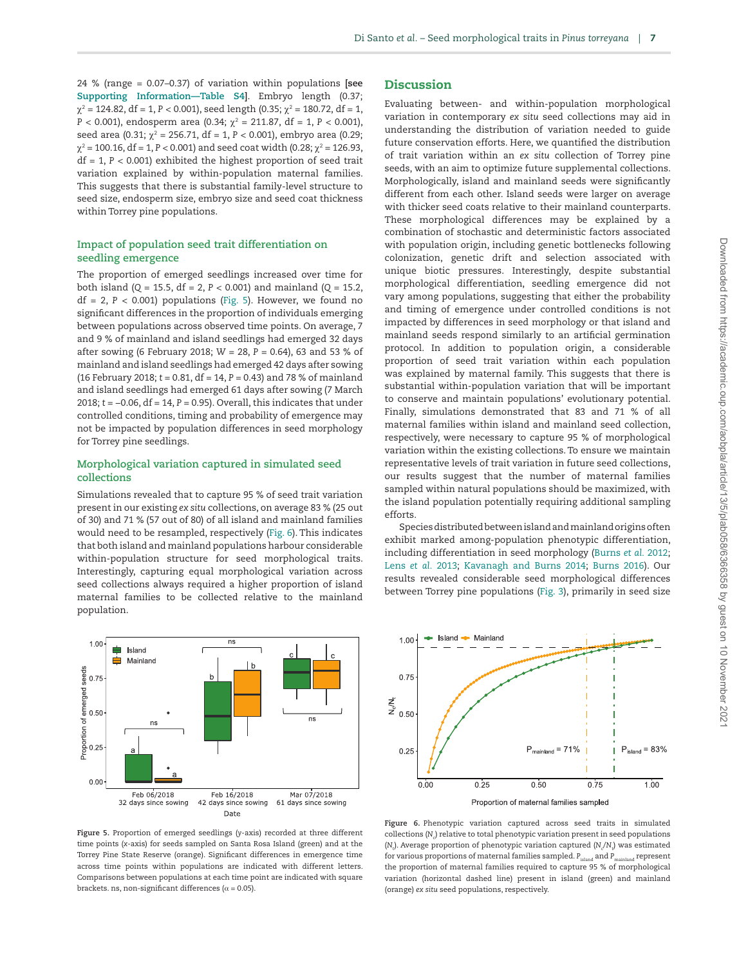24 % (range = 0.07–0.37) of variation within populations **[see [Supporting Information—Table S4\]](http://academic.oup.com/aobpla/article-lookup/doi/10.1093/aobpla/plab058#supplementary-data)**. Embryo length (0.37;  $\chi^2$  = 124.82, df = 1, P < 0.001), seed length (0.35;  $\chi^2$  = 180.72, df = 1, *P* < 0.001), endosperm area (0.34; χ<sup>2</sup> = 211.87, df = 1, *P* < 0.001), seed area (0.31; χ<sup>2</sup> = 256.71, df = 1, P < 0.001), embryo area (0.29; χ2 = 100.16, df = 1, *P* < 0.001) and seed coat width (0.28; χ<sup>2</sup> = 126.93, df = 1, *P* < 0.001) exhibited the highest proportion of seed trait variation explained by within-population maternal families. This suggests that there is substantial family-level structure to seed size, endosperm size, embryo size and seed coat thickness within Torrey pine populations.

## **Impact of population seed trait differentiation on seedling emergence**

The proportion of emerged seedlings increased over time for both island (*Q* = 15.5, df = 2, *P* < 0.001) and mainland (*Q* = 15.2,  $df = 2$ ,  $P < 0.001$ ) populations ([Fig. 5](#page-6-0)). However, we found no significant differences in the proportion of individuals emerging between populations across observed time points. On average, 7 and 9 % of mainland and island seedlings had emerged 32 days after sowing (6 February 2018; *W* = 28, *P* = 0.64), 63 and 53 % of mainland and island seedlings had emerged 42 days after sowing (16 February 2018; *t* = 0.81, df = 14, *P* = 0.43) and 78 % of mainland and island seedlings had emerged 61 days after sowing (7 March 2018; *t* = −0.06, df = 14, *P* = 0.95). Overall, this indicates that under controlled conditions, timing and probability of emergence may not be impacted by population differences in seed morphology for Torrey pine seedlings.

## **Morphological variation captured in simulated seed collections**

Simulations revealed that to capture 95 % of seed trait variation present in our existing *ex situ* collections, on average 83 % (25 out of 30) and 71 % (57 out of 80) of all island and mainland families would need to be resampled, respectively ([Fig. 6](#page-6-1)). This indicates that both island and mainland populations harbour considerable within-population structure for seed morphological traits. Interestingly, capturing equal morphological variation across seed collections always required a higher proportion of island maternal families to be collected relative to the mainland population.



<span id="page-6-0"></span>**Figure 5.** Proportion of emerged seedlings (*y*-axis) recorded at three different time points (*x*-axis) for seeds sampled on Santa Rosa Island (green) and at the Torrey Pine State Reserve (orange). Significant differences in emergence time across time points within populations are indicated with different letters. Comparisons between populations at each time point are indicated with square brackets. ns, non-significant differences ( $\alpha$  = 0.05).

## **Discussion**

Evaluating between- and within-population morphological variation in contemporary *ex situ* seed collections may aid in understanding the distribution of variation needed to guide future conservation efforts. Here, we quantified the distribution of trait variation within an *ex situ* collection of Torrey pine seeds, with an aim to optimize future supplemental collections. Morphologically, island and mainland seeds were significantly different from each other. Island seeds were larger on average with thicker seed coats relative to their mainland counterparts. These morphological differences may be explained by a combination of stochastic and deterministic factors associated with population origin, including genetic bottlenecks following colonization, genetic drift and selection associated with unique biotic pressures. Interestingly, despite substantial morphological differentiation, seedling emergence did not vary among populations, suggesting that either the probability and timing of emergence under controlled conditions is not impacted by differences in seed morphology or that island and mainland seeds respond similarly to an artificial germination protocol. In addition to population origin, a considerable proportion of seed trait variation within each population was explained by maternal family. This suggests that there is substantial within-population variation that will be important to conserve and maintain populations' evolutionary potential. Finally, simulations demonstrated that 83 and 71 % of all maternal families within island and mainland seed collection, respectively, were necessary to capture 95 % of morphological variation within the existing collections. To ensure we maintain representative levels of trait variation in future seed collections, our results suggest that the number of maternal families sampled within natural populations should be maximized, with the island population potentially requiring additional sampling efforts.

Species distributed between island and mainland origins often exhibit marked among-population phenotypic differentiation, including differentiation in seed morphology ([Burns](#page-9-27) *et al.* 2012; Lens *et al.* [2013](#page-9-28); [Kavanagh and Burns 2014;](#page-9-29) [Burns 2016\)](#page-9-30). Our results revealed considerable seed morphological differences between Torrey pine populations [\(Fig. 3\)](#page-5-0), primarily in seed size



<span id="page-6-1"></span>**Figure 6.** Phenotypic variation captured across seed traits in simulated collections (N<sub>c</sub>) relative to total phenotypic variation present in seed populations (*N*<sub>c</sub>). Average proportion of phenotypic variation captured (*N*<sub>c</sub>/*N*<sub>t</sub>) was estimated for various proportions of maternal families sampled. *P<sub>island</sub>* and *P<sub>mainland</sub>* represent the proportion of maternal families required to capture 95 % of morphological variation (horizontal dashed line) present in island (green) and mainland (orange) *ex situ* seed populations, respectively.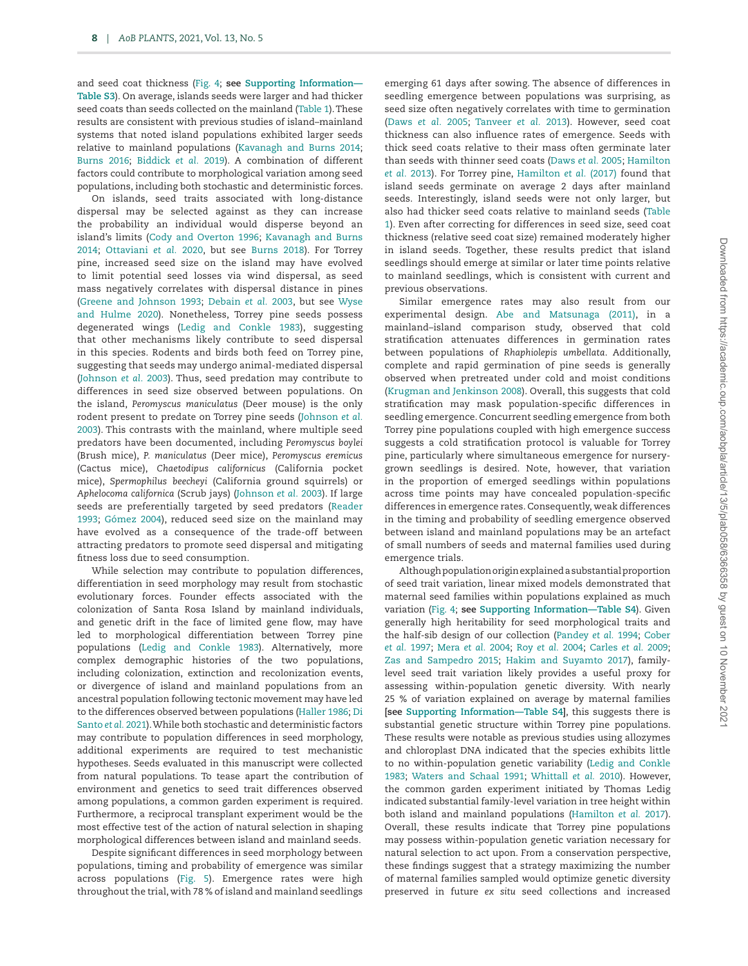and seed coat thickness [\(Fig. 4;](#page-5-1) **see [Supporting Information—](http://academic.oup.com/aobpla/article-lookup/doi/10.1093/aobpla/plab058#supplementary-data) [Table S3](http://academic.oup.com/aobpla/article-lookup/doi/10.1093/aobpla/plab058#supplementary-data)**). On average, islands seeds were larger and had thicker seed coats than seeds collected on the mainland [\(Table 1\)](#page-4-0). These results are consistent with previous studies of island–mainland systems that noted island populations exhibited larger seeds relative to mainland populations [\(Kavanagh and Burns 2014](#page-9-29); [Burns 2016;](#page-9-30) [Biddick](#page-9-31) *et al.* 2019). A combination of different factors could contribute to morphological variation among seed populations, including both stochastic and deterministic forces.

On islands, seed traits associated with long-distance dispersal may be selected against as they can increase the probability an individual would disperse beyond an island's limits [\(Cody and Overton 1996](#page-9-32); [Kavanagh and Burns](#page-9-29) [2014](#page-9-29); [Ottaviani](#page-10-16) *et al.* 2020, but see [Burns 2018](#page-9-33)). For Torrey pine, increased seed size on the island may have evolved to limit potential seed losses via wind dispersal, as seed mass negatively correlates with dispersal distance in pines ([Greene and Johnson 1993;](#page-9-34) [Debain](#page-9-35) *et al.* 2003, but see [Wyse](#page-10-17) [and Hulme 2020\)](#page-10-17). Nonetheless, Torrey pine seeds possess degenerated wings ([Ledig and Conkle 1983\)](#page-9-17), suggesting that other mechanisms likely contribute to seed dispersal in this species. Rodents and birds both feed on Torrey pine, suggesting that seeds may undergo animal-mediated dispersal ([Johnson](#page-9-36) *et al.* 2003). Thus, seed predation may contribute to differences in seed size observed between populations. On the island, *Peromyscus maniculatus* (Deer mouse) is the only rodent present to predate on Torrey pine seeds ([Johnson](#page-9-36) *et al.* [2003](#page-9-36)). This contrasts with the mainland, where multiple seed predators have been documented, including *Peromyscus boylei* (Brush mice), *P. maniculatus* (Deer mice), *Peromyscus eremicus* (Cactus mice), *Chaetodipus californicus* (California pocket mice), *Spermophilus beecheyi* (California ground squirrels) or *Aphelocoma californica* (Scrub jays) ([Johnson](#page-9-36) *et al.* 2003). If large seeds are preferentially targeted by seed predators [\(Reader](#page-10-18) [1993](#page-10-18); [Gómez 2004](#page-9-37)), reduced seed size on the mainland may have evolved as a consequence of the trade-off between attracting predators to promote seed dispersal and mitigating fitness loss due to seed consumption.

While selection may contribute to population differences, differentiation in seed morphology may result from stochastic evolutionary forces. Founder effects associated with the colonization of Santa Rosa Island by mainland individuals, and genetic drift in the face of limited gene flow, may have led to morphological differentiation between Torrey pine populations [\(Ledig and Conkle 1983\)](#page-9-17). Alternatively, more complex demographic histories of the two populations, including colonization, extinction and recolonization events, or divergence of island and mainland populations from an ancestral population following tectonic movement may have led to the differences observed between populations ([Haller 1986](#page-9-13); [Di](#page-10-19) [Santo](#page-10-19) *et al.* 2021). While both stochastic and deterministic factors may contribute to population differences in seed morphology, additional experiments are required to test mechanistic hypotheses. Seeds evaluated in this manuscript were collected from natural populations. To tease apart the contribution of environment and genetics to seed trait differences observed among populations, a common garden experiment is required. Furthermore, a reciprocal transplant experiment would be the most effective test of the action of natural selection in shaping morphological differences between island and mainland seeds.

Despite significant differences in seed morphology between populations, timing and probability of emergence was similar across populations ([Fig. 5](#page-6-0)). Emergence rates were high throughout the trial, with 78 % of island and mainland seedlings emerging 61 days after sowing. The absence of differences in seedling emergence between populations was surprising, as seed size often negatively correlates with time to germination ([Daws](#page-9-38) *et al.* 2005; [Tanveer](#page-10-20) *et al.* 2013). However, seed coat thickness can also influence rates of emergence. Seeds with thick seed coats relative to their mass often germinate later than seeds with thinner seed coats ([Daws](#page-9-38) *et al.* 2005; [Hamilton](#page-9-39) *et al.* [2013](#page-9-39)). For Torrey pine, [Hamilton](#page-9-8) *et al.* (2017) found that island seeds germinate on average 2 days after mainland seeds. Interestingly, island seeds were not only larger, but also had thicker seed coats relative to mainland seeds [\(Table](#page-4-0) [1](#page-4-0)). Even after correcting for differences in seed size, seed coat thickness (relative seed coat size) remained moderately higher in island seeds. Together, these results predict that island seedlings should emerge at similar or later time points relative to mainland seedlings, which is consistent with current and previous observations.

Similar emergence rates may also result from our experimental design. [Abe and Matsunaga \(2011\),](#page-9-40) in a mainland–island comparison study, observed that cold stratification attenuates differences in germination rates between populations of *Rhaphiolepis umbellata*. Additionally, complete and rapid germination of pine seeds is generally observed when pretreated under cold and moist conditions ([Krugman and Jenkinson 2008](#page-9-41)). Overall, this suggests that cold stratification may mask population-specific differences in seedling emergence. Concurrent seedling emergence from both Torrey pine populations coupled with high emergence success suggests a cold stratification protocol is valuable for Torrey pine, particularly where simultaneous emergence for nurserygrown seedlings is desired. Note, however, that variation in the proportion of emerged seedlings within populations across time points may have concealed population-specific differences in emergence rates. Consequently, weak differences in the timing and probability of seedling emergence observed between island and mainland populations may be an artefact of small numbers of seeds and maternal families used during emergence trials.

Although population origin explained a substantial proportion of seed trait variation, linear mixed models demonstrated that maternal seed families within populations explained as much variation [\(Fig. 4;](#page-5-1) **see [Supporting Information—Table S4](http://academic.oup.com/aobpla/article-lookup/doi/10.1093/aobpla/plab058#supplementary-data)**). Given generally high heritability for seed morphological traits and the half-sib design of our collection ([Pandey](#page-10-6) *et al.* 1994; [Cober](#page-9-5) *et al.* [1997;](#page-9-5) [Mera](#page-9-6) *et al.* 2004; Roy *et al.* [2004;](#page-10-4) [Carles](#page-9-4) *et al.* 2009; [Zas and Sampedro 2015](#page-10-5); [Hakim and Suyamto 2017](#page-9-7)), familylevel seed trait variation likely provides a useful proxy for assessing within-population genetic diversity. With nearly 25 % of variation explained on average by maternal families **[see [Supporting Information—Table S4](http://academic.oup.com/aobpla/article-lookup/doi/10.1093/aobpla/plab058#supplementary-data)]**, this suggests there is substantial genetic structure within Torrey pine populations. These results were notable as previous studies using allozymes and chloroplast DNA indicated that the species exhibits little to no within-population genetic variability ([Ledig and Conkle](#page-9-17) [1983;](#page-9-17) [Waters and Schaal 1991](#page-10-21); [Whittall](#page-10-13) *et al.* 2010). However, the common garden experiment initiated by Thomas Ledig indicated substantial family-level variation in tree height within both island and mainland populations [\(Hamilton](#page-9-8) *et al.* 2017). Overall, these results indicate that Torrey pine populations may possess within-population genetic variation necessary for natural selection to act upon. From a conservation perspective, these findings suggest that a strategy maximizing the number of maternal families sampled would optimize genetic diversity preserved in future *ex situ* seed collections and increased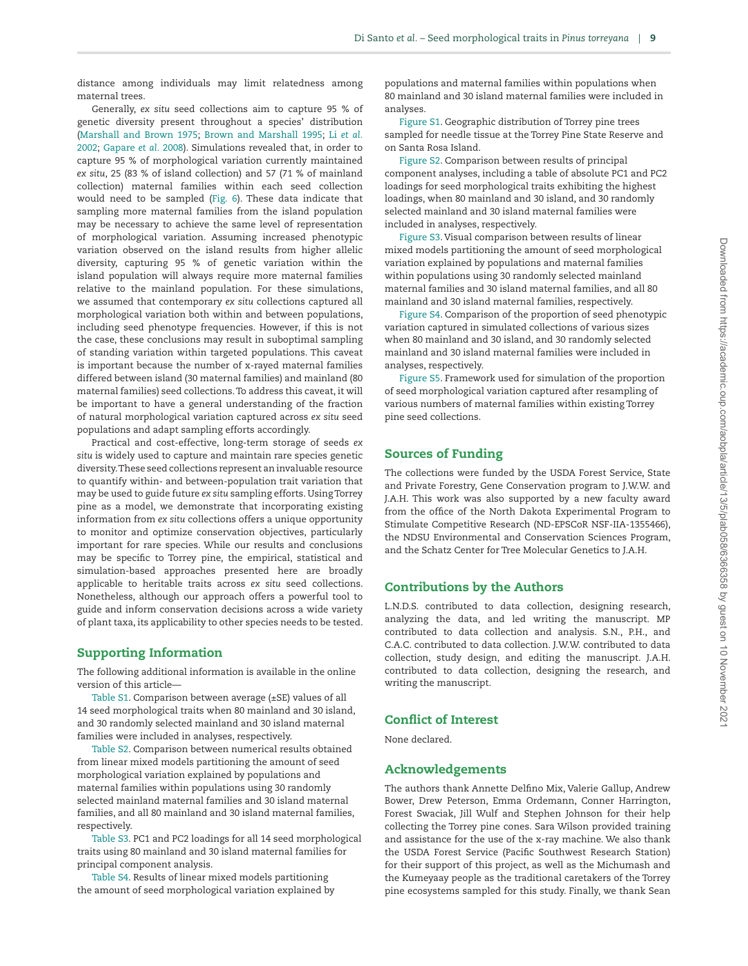distance among individuals may limit relatedness among maternal trees.

Generally, *ex situ* seed collections aim to capture 95 % of genetic diversity present throughout a species' distribution [\(Marshall and Brown 1975](#page-9-42); [Brown and Marshall 1995](#page-9-43); Li *[et al.](#page-9-44)* [2002;](#page-9-44) [Gapare](#page-9-45) *et al.* 2008). Simulations revealed that, in order to capture 95 % of morphological variation currently maintained *ex situ*, 25 (83 % of island collection) and 57 (71 % of mainland collection) maternal families within each seed collection would need to be sampled ([Fig. 6](#page-6-1)). These data indicate that sampling more maternal families from the island population may be necessary to achieve the same level of representation of morphological variation. Assuming increased phenotypic variation observed on the island results from higher allelic diversity, capturing 95 % of genetic variation within the island population will always require more maternal families relative to the mainland population. For these simulations, we assumed that contemporary *ex situ* collections captured all morphological variation both within and between populations, including seed phenotype frequencies. However, if this is not the case, these conclusions may result in suboptimal sampling of standing variation within targeted populations. This caveat is important because the number of x-rayed maternal families differed between island (30 maternal families) and mainland (80 maternal families) seed collections. To address this caveat, it will be important to have a general understanding of the fraction of natural morphological variation captured across *ex situ* seed populations and adapt sampling efforts accordingly.

Practical and cost-effective, long-term storage of seeds *ex situ* is widely used to capture and maintain rare species genetic diversity. These seed collections represent an invaluable resource to quantify within- and between-population trait variation that may be used to guide future *ex situ* sampling efforts. Using Torrey pine as a model, we demonstrate that incorporating existing information from *ex situ* collections offers a unique opportunity to monitor and optimize conservation objectives, particularly important for rare species. While our results and conclusions may be specific to Torrey pine, the empirical, statistical and simulation-based approaches presented here are broadly applicable to heritable traits across *ex situ* seed collections. Nonetheless, although our approach offers a powerful tool to guide and inform conservation decisions across a wide variety of plant taxa, its applicability to other species needs to be tested.

# Supporting Information

The following additional information is available in the online version of this article—

[Table S1](http://academic.oup.com/aobpla/article-lookup/doi/10.1093/aobpla/plab058#supplementary-data). Comparison between average (±SE) values of all 14 seed morphological traits when 80 mainland and 30 island, and 30 randomly selected mainland and 30 island maternal families were included in analyses, respectively.

[Table S2](http://academic.oup.com/aobpla/article-lookup/doi/10.1093/aobpla/plab058#supplementary-data). Comparison between numerical results obtained from linear mixed models partitioning the amount of seed morphological variation explained by populations and maternal families within populations using 30 randomly selected mainland maternal families and 30 island maternal families, and all 80 mainland and 30 island maternal families, respectively.

[Table S3](http://academic.oup.com/aobpla/article-lookup/doi/10.1093/aobpla/plab058#supplementary-data). PC1 and PC2 loadings for all 14 seed morphological traits using 80 mainland and 30 island maternal families for principal component analysis.

[Table S4](http://academic.oup.com/aobpla/article-lookup/doi/10.1093/aobpla/plab058#supplementary-data). Results of linear mixed models partitioning the amount of seed morphological variation explained by

populations and maternal families within populations when 80 mainland and 30 island maternal families were included in analyses.

[Figure S1.](http://academic.oup.com/aobpla/article-lookup/doi/10.1093/aobpla/plab058#supplementary-data) Geographic distribution of Torrey pine trees sampled for needle tissue at the Torrey Pine State Reserve and on Santa Rosa Island.

[Figure S2.](http://academic.oup.com/aobpla/article-lookup/doi/10.1093/aobpla/plab058#supplementary-data) Comparison between results of principal component analyses, including a table of absolute PC1 and PC2 loadings for seed morphological traits exhibiting the highest loadings, when 80 mainland and 30 island, and 30 randomly selected mainland and 30 island maternal families were included in analyses, respectively.

[Figure S3.](http://academic.oup.com/aobpla/article-lookup/doi/10.1093/aobpla/plab058#supplementary-data) Visual comparison between results of linear mixed models partitioning the amount of seed morphological variation explained by populations and maternal families within populations using 30 randomly selected mainland maternal families and 30 island maternal families, and all 80 mainland and 30 island maternal families, respectively.

[Figure S4.](http://academic.oup.com/aobpla/article-lookup/doi/10.1093/aobpla/plab058#supplementary-data) Comparison of the proportion of seed phenotypic variation captured in simulated collections of various sizes when 80 mainland and 30 island, and 30 randomly selected mainland and 30 island maternal families were included in analyses, respectively.

[Figure S5.](http://academic.oup.com/aobpla/article-lookup/doi/10.1093/aobpla/plab058#supplementary-data) Framework used for simulation of the proportion of seed morphological variation captured after resampling of various numbers of maternal families within existing Torrey pine seed collections.

#### Sources of Funding

The collections were funded by the USDA Forest Service, State and Private Forestry, Gene Conservation program to J.W.W. and J.A.H. This work was also supported by a new faculty award from the office of the North Dakota Experimental Program to Stimulate Competitive Research (ND-EPSCoR NSF-IIA-1355466), the NDSU Environmental and Conservation Sciences Program, and the Schatz Center for Tree Molecular Genetics to J.A.H.

# Contributions by the Authors

L.N.D.S. contributed to data collection, designing research, analyzing the data, and led writing the manuscript. MP contributed to data collection and analysis. S.N., P.H., and C.A.C. contributed to data collection. J.W.W. contributed to data collection, study design, and editing the manuscript. J.A.H. contributed to data collection, designing the research, and writing the manuscript.

# Conflict of Interest

None declared.

#### Acknowledgements

The authors thank Annette Delfino Mix, Valerie Gallup, Andrew Bower, Drew Peterson, Emma Ordemann, Conner Harrington, Forest Swaciak, Jill Wulf and Stephen Johnson for their help collecting the Torrey pine cones. Sara Wilson provided training and assistance for the use of the x-ray machine. We also thank the USDA Forest Service (Pacific Southwest Research Station) for their support of this project, as well as the Michumash and the Kumeyaay people as the traditional caretakers of the Torrey pine ecosystems sampled for this study. Finally, we thank Sean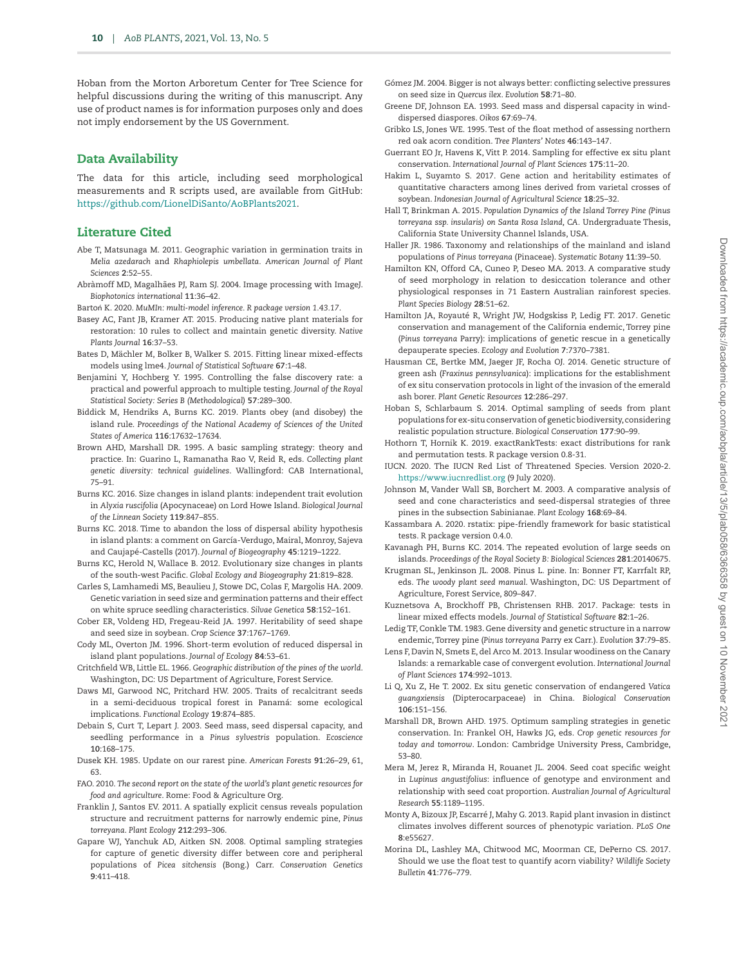Hoban from the Morton Arboretum Center for Tree Science for helpful discussions during the writing of this manuscript. Any use of product names is for information purposes only and does not imply endorsement by the US Government.

## Data Availability

The data for this article, including seed morphological measurements and R scripts used, are available from GitHub: [https://github.com/LionelDiSanto/AoBPlants2021.](https://github.com/LionelDiSanto/AoBPlants2021)

### Literature Cited

- <span id="page-9-40"></span>Abe T, Matsunaga M. 2011. Geographic variation in germination traits in *Melia azedarach* and *Rhaphiolepis umbellata. American Journal of Plant Sciences* **2**:52–55.
- <span id="page-9-20"></span>Abràmoff MD, Magalhães PJ, Ram SJ. 2004. Image processing with ImageJ. *Biophotonics international* **11**:36–42.
- <span id="page-9-24"></span>Bartoń K. 2020. *MuMIn: multi-model inference. R package version 1.43.17*.
- <span id="page-9-1"></span>Basey AC, Fant JB, Kramer AT. 2015. Producing native plant materials for restoration: 10 rules to collect and maintain genetic diversity. *Native Plants Journal* **16**:37–53.
- <span id="page-9-22"></span>Bates D, Mächler M, Bolker B, Walker S. 2015. Fitting linear mixed-effects models using lme4. *Journal of Statistical Software* **67**:1–48.
- <span id="page-9-26"></span>Benjamini Y, Hochberg Y. 1995. Controlling the false discovery rate: a practical and powerful approach to multiple testing. *Journal of the Royal Statistical Society: Series B (Methodological)* **57**:289–300.
- <span id="page-9-31"></span>Biddick M, Hendriks A, Burns KC. 2019. Plants obey (and disobey) the island rule. *Proceedings of the National Academy of Sciences of the United States of America* **116**:17632–17634.
- <span id="page-9-43"></span>Brown AHD, Marshall DR. 1995. A basic sampling strategy: theory and practice. In: Guarino L, Ramanatha Rao V, Reid R, eds. *Collecting plant genetic diversity: technical guidelines*. Wallingford: CAB International, 75–91.
- <span id="page-9-30"></span>Burns KC. 2016. Size changes in island plants: independent trait evolution in *Alyxia ruscifolia* (Apocynaceae) on Lord Howe Island. *Biological Journal of the Linnean Society* **119**:847–855.
- <span id="page-9-33"></span>Burns KC. 2018. Time to abandon the loss of dispersal ability hypothesis in island plants: a comment on García-Verdugo, Mairal, Monroy, Sajeva and Caujapé-Castells (2017). *Journal of Biogeography* **45**:1219–1222.
- <span id="page-9-27"></span>Burns KC, Herold N, Wallace B. 2012. Evolutionary size changes in plants of the south-west Pacific. *Global Ecology and Biogeography* **21**:819–828.
- <span id="page-9-4"></span>Carles S, Lamhamedi MS, Beaulieu J, Stowe DC, Colas F, Margolis HA. 2009. Genetic variation in seed size and germination patterns and their effect on white spruce seedling characteristics. *Silvae Genetica* **58**:152–161.
- <span id="page-9-5"></span>Cober ER, Voldeng HD, Fregeau-Reid JA. 1997. Heritability of seed shape and seed size in soybean. *Crop Science* **37**:1767–1769.
- <span id="page-9-32"></span>Cody ML, Overton JM. 1996. Short-term evolution of reduced dispersal in island plant populations. *Journal of Ecology* **84**:53–61.
- <span id="page-9-11"></span>Critchfield WB, Little EL. 1966. *Geographic distribution of the pines of the world*. Washington, DC: US Department of Agriculture, Forest Service.
- <span id="page-9-38"></span>Daws MI, Garwood NC, Pritchard HW. 2005. Traits of recalcitrant seeds in a semi-deciduous tropical forest in Panamá: some ecological implications. *Functional Ecology* **19**:874–885.
- <span id="page-9-35"></span>Debain S, Curt T, Lepart J. 2003. Seed mass, seed dispersal capacity, and seedling performance in a *Pinus sylvestris* population. *Ecoscience* **10**:168–175.
- <span id="page-9-12"></span>Dusek KH. 1985. Update on our rarest pine. *American Forests* **91**:26–29, 61, 63.
- <span id="page-9-10"></span>FAO. 2010. *The second report on the state of the world's plant genetic resources for food and agriculture*. Rome: Food & Agriculture Org.
- <span id="page-9-14"></span>Franklin J, Santos EV. 2011. A spatially explicit census reveals population structure and recruitment patterns for narrowly endemic pine, *Pinus torreyana*. *Plant Ecology* **212**:293–306.
- <span id="page-9-45"></span>Gapare WJ, Yanchuk AD, Aitken SN. 2008. Optimal sampling strategies for capture of genetic diversity differ between core and peripheral populations of *Picea sitchensis* (Bong.) Carr. *Conservation Genetics* **9**:411–418.
- <span id="page-9-37"></span>Gómez JM. 2004. Bigger is not always better: conflicting selective pressures on seed size in *Quercus ilex*. *Evolution* **58**:71–80.
- <span id="page-9-34"></span>Greene DF, Johnson EA. 1993. Seed mass and dispersal capacity in winddispersed diaspores. *Oikos* **67**:69–74.
- <span id="page-9-18"></span>Gribko LS, Jones WE. 1995. Test of the float method of assessing northern red oak acorn condition. *Tree Planters' Notes* **46**:143–147.
- <span id="page-9-0"></span>Guerrant EO Jr, Havens K, Vitt P. 2014. Sampling for effective ex situ plant conservation. *International Journal of Plant Sciences* **175**:11–20.
- <span id="page-9-7"></span>Hakim L, Suyamto S. 2017. Gene action and heritability estimates of quantitative characters among lines derived from varietal crosses of soybean. *Indonesian Journal of Agricultural Science* **18**:25–32.
- <span id="page-9-15"></span>Hall T, Brinkman A. 2015. *Population Dynamics of the Island Torrey Pine (Pinus torreyana ssp. insularis) on Santa Rosa Island, CA.* Undergraduate Thesis, California State University Channel Islands, USA.
- <span id="page-9-13"></span>Haller JR. 1986. Taxonomy and relationships of the mainland and island populations of *Pinus torreyana* (Pinaceae). *Systematic Botany* **11**:39–50.
- <span id="page-9-39"></span>Hamilton KN, Offord CA, Cuneo P, Deseo MA. 2013. A comparative study of seed morphology in relation to desiccation tolerance and other physiological responses in 71 Eastern Australian rainforest species. *Plant Species Biology* **28**:51–62.
- <span id="page-9-8"></span>Hamilton JA, Royauté R, Wright JW, Hodgskiss P, Ledig FT. 2017. Genetic conservation and management of the California endemic, Torrey pine (*Pinus torreyana* Parry): implications of genetic rescue in a genetically depauperate species. *Ecology and Evolution* **7**:7370–7381.
- <span id="page-9-9"></span>Hausman CE, Bertke MM, Jaeger JF, Rocha OJ. 2014. Genetic structure of green ash (*Fraxinus pennsylvanica*): implications for the establishment of ex situ conservation protocols in light of the invasion of the emerald ash borer. *Plant Genetic Resources* **12**:286–297.
- <span id="page-9-2"></span>Hoban S, Schlarbaum S. 2014. Optimal sampling of seeds from plant populations for ex-situ conservation of genetic biodiversity, considering realistic population structure. *Biological Conservation* **177**:90–99.
- <span id="page-9-21"></span>Hothorn T, Hornik K. 2019. exactRankTests: exact distributions for rank and permutation tests. R package version 0.8-31.
- <span id="page-9-16"></span>IUCN. 2020. The IUCN Red List of Threatened Species. Version 2020-2. <https://www.iucnredlist.org>(9 July 2020).
- <span id="page-9-36"></span>Johnson M, Vander Wall SB, Borchert M. 2003. A comparative analysis of seed and cone characteristics and seed-dispersal strategies of three pines in the subsection Sabinianae. *Plant Ecology* **168**:69–84.
- <span id="page-9-25"></span>Kassambara A. 2020. rstatix: pipe-friendly framework for basic statistical tests. R package version 0.4.0.
- <span id="page-9-29"></span>Kavanagh PH, Burns KC. 2014. The repeated evolution of large seeds on islands. *Proceedings of the Royal Society B: Biological Sciences* **281**:20140675.
- <span id="page-9-41"></span>Krugman SL, Jenkinson JL. 2008. Pinus L. pine. In: Bonner FT, Karrfalt RP, eds. *The woody plant seed manual*. Washington, DC: US Department of Agriculture, Forest Service, 809–847.
- <span id="page-9-23"></span>Kuznetsova A, Brockhoff PB, Christensen RHB. 2017. Package: tests in linear mixed effects models. *Journal of Statistical Software* **82**:1–26.
- <span id="page-9-17"></span>Ledig TF, Conkle TM. 1983. Gene diversity and genetic structure in a narrow endemic, Torrey pine (*Pinus torreyana* Parry ex Carr.). *Evolution* **37**:79–85.
- <span id="page-9-28"></span>Lens F, Davin N, Smets E, del Arco M. 2013. Insular woodiness on the Canary Islands: a remarkable case of convergent evolution. *International Journal of Plant Sciences* **174**:992–1013.
- <span id="page-9-44"></span>Li Q, Xu Z, He T. 2002. Ex situ genetic conservation of endangered *Vatica guangxiensis* (Dipterocarpaceae) in China. *Biological Conservation* **106**:151–156.
- <span id="page-9-42"></span>Marshall DR, Brown AHD. 1975. Optimum sampling strategies in genetic conservation. In: Frankel OH, Hawks JG, eds. *Crop genetic resources for today and tomorrow*. London: Cambridge University Press, Cambridge, 53–80.
- <span id="page-9-6"></span>Mera M, Jerez R, Miranda H, Rouanet JL. 2004. Seed coat specific weight in *Lupinus angustifolius*: influence of genotype and environment and relationship with seed coat proportion. *Australian Journal of Agricultural Research* **55**:1189–1195.
- <span id="page-9-3"></span>Monty A, Bizoux JP, Escarré J, Mahy G. 2013. Rapid plant invasion in distinct climates involves different sources of phenotypic variation. *PLoS One* **8**:e55627.
- <span id="page-9-19"></span>Morina DL, Lashley MA, Chitwood MC, Moorman CE, DePerno CS. 2017. Should we use the float test to quantify acorn viability? *Wildlife Society Bulletin* **41**:776–779.